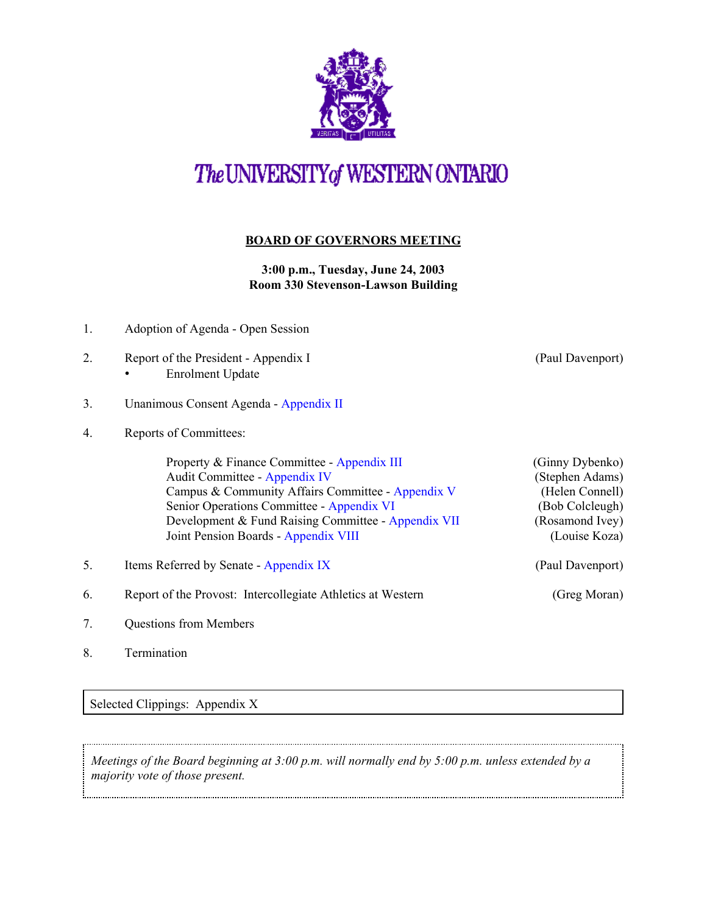

# The UNIVERSITY of WESTERN ONTARIO

### **BOARD OF GOVERNORS MEETING**

**3:00 p.m., Tuesday, June 24, 2003 Room 330 Stevenson-Lawson Building**

- 1. Adoption of Agenda Open Session
- 2. Report of the President Appendix I (Paul Davenport) • Enrolment Update
- 3. Unanimous Consent Agenda [Appendix II](http://www.uwo.ca/univsec/board/minutes/2003/r0306consent.pdf)
- 4. Reports of Committees:

Property & Finance Committee - [Appendix III](http://www.uwo.ca/univsec/board/minutes/2003/r0306pf.pdf) (Ginny Dybenko) Audit Committee - [Appendix IV](http://www.uwo.ca/univsec/board/minutes/2003/r0306aud.pdf) (Stephen Adams) Campus & Community Affairs Committee - [Appendix V](http://www.uwo.ca/univsec/board/minutes/2003/r0306ccac.pdf) (Helen Connell) Senior Operations Committee - [Appendix VI](http://www.uwo.ca/univsec/board/minutes/2003/r0306srops.pdf) (Bob Colcleugh) Development & Fund Raising Committee - [Appendix VII](http://www.uwo.ca/univsec/board/minutes/2003/r0306dev.pdf) (Rosamond Ivey) Joint Pension Boards - [Appendix VIII](http://www.uwo.ca/univsec/board/minutes/2003/r0306pension.pdf) (Louise Koza)

- 5. Items Referred by Senate [Appendix IX](http://www.uwo.ca/univsec/board/minutes/2003/r0306senate.pdf) (Paul Davenport)
- 6. Report of the Provost: Intercollegiate Athletics at Western (Greg Moran)
- 7. Questions from Members
- 8. Termination

Selected Clippings: Appendix X

*Meetings of the Board beginning at 3:00 p.m. will normally end by 5:00 p.m. unless extended by a majority vote of those present.*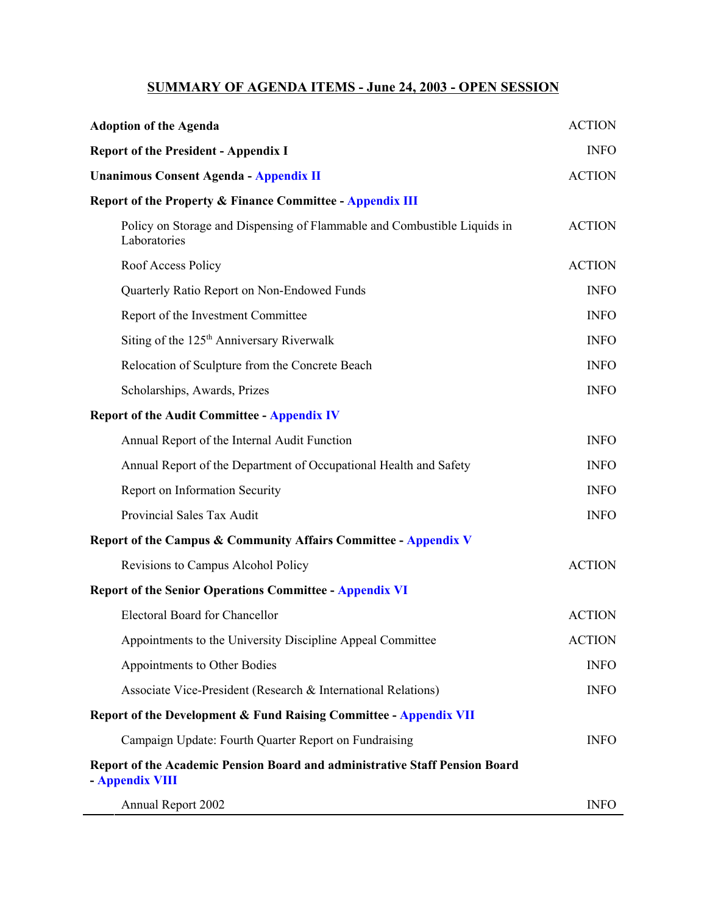## **SUMMARY OF AGENDA ITEMS - June 24, 2003 - OPEN SESSION**

| <b>Adoption of the Agenda</b>                                                                  | <b>ACTION</b> |
|------------------------------------------------------------------------------------------------|---------------|
| <b>Report of the President - Appendix I</b>                                                    | <b>INFO</b>   |
| <b>Unanimous Consent Agenda - Appendix II</b>                                                  | <b>ACTION</b> |
| <b>Report of the Property &amp; Finance Committee - Appendix III</b>                           |               |
| Policy on Storage and Dispensing of Flammable and Combustible Liquids in<br>Laboratories       | <b>ACTION</b> |
| Roof Access Policy                                                                             | <b>ACTION</b> |
| Quarterly Ratio Report on Non-Endowed Funds                                                    | <b>INFO</b>   |
| Report of the Investment Committee                                                             | <b>INFO</b>   |
| Siting of the 125 <sup>th</sup> Anniversary Riverwalk                                          | <b>INFO</b>   |
| Relocation of Sculpture from the Concrete Beach                                                | <b>INFO</b>   |
| Scholarships, Awards, Prizes                                                                   | <b>INFO</b>   |
| <b>Report of the Audit Committee - Appendix IV</b>                                             |               |
| Annual Report of the Internal Audit Function                                                   | <b>INFO</b>   |
| Annual Report of the Department of Occupational Health and Safety                              | <b>INFO</b>   |
| Report on Information Security                                                                 | <b>INFO</b>   |
| Provincial Sales Tax Audit                                                                     | <b>INFO</b>   |
| <b>Report of the Campus &amp; Community Affairs Committee - Appendix V</b>                     |               |
| Revisions to Campus Alcohol Policy                                                             | <b>ACTION</b> |
| <b>Report of the Senior Operations Committee - Appendix VI</b>                                 |               |
| <b>Electoral Board for Chancellor</b>                                                          | <b>ACTION</b> |
| Appointments to the University Discipline Appeal Committee                                     | <b>ACTION</b> |
| Appointments to Other Bodies                                                                   | <b>INFO</b>   |
| Associate Vice-President (Research & International Relations)                                  | <b>INFO</b>   |
| <b>Report of the Development &amp; Fund Raising Committee - Appendix VII</b>                   |               |
| Campaign Update: Fourth Quarter Report on Fundraising                                          | <b>INFO</b>   |
| Report of the Academic Pension Board and administrative Staff Pension Board<br>- Appendix VIII |               |
| Annual Report 2002                                                                             | <b>INFO</b>   |